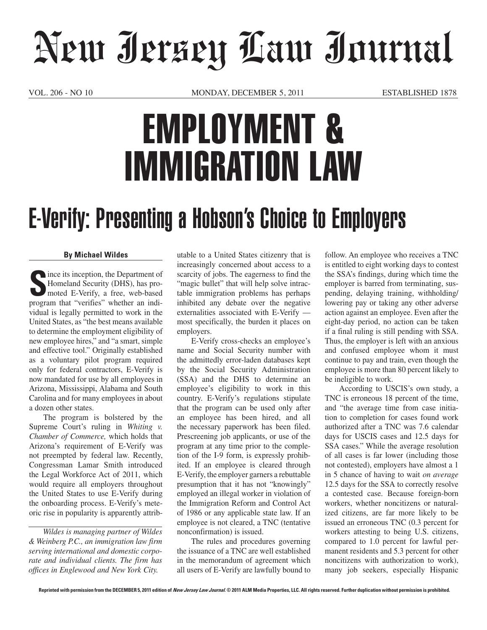## New Jersey Law Journal

VOL. 206 - NO 10 MONDAY, DECEMBER 5, 2011 ESTABLISHED 1878

## EMPLOYMENT & IMMIGRATION LAW

## E-Verify: Presenting a Hobson's Choice to Employers

## **By Michael Wildes**

**S**ince its inception, the Department of Homeland Security (DHS), has promoted E-Verify, a free, web-based program that "verifies" whether an individual is legally permitted to work in the United States, as "the best means available to determine the employment eligibility of new employee hires," and "a smart, simple and effective tool." Originally established as a voluntary pilot program required only for federal contractors, E-Verify is now mandated for use by all employees in Arizona, Mississippi, Alabama and South Carolina and for many employees in about a dozen other states.

The program is bolstered by the Supreme Court's ruling in *Whiting v. Chamber of Commerce,* which holds that Arizona's requirement of E-Verify was not preempted by federal law. Recently, Congressman Lamar Smith introduced the Legal Workforce Act of 2011, which would require all employers throughout the United States to use E-Verify during the onboarding process. E-Verify's meteoric rise in popularity is apparently attrib-

*Wildes is managing partner of Wildes & Weinberg P.C., an immigration law firm serving international and domestic corporate and individual clients. The firm has offices in Englewood and New York City.*

utable to a United States citizenry that is increasingly concerned about access to a scarcity of jobs. The eagerness to find the "magic bullet" that will help solve intractable immigration problems has perhaps inhibited any debate over the negative externalities associated with E-Verify most specifically, the burden it places on employers.

E-Verify cross-checks an employee's name and Social Security number with the admittedly error-laden databases kept by the Social Security Administration (SSA) and the DHS to determine an employee's eligibility to work in this country. E-Verify's regulations stipulate that the program can be used only after an employee has been hired, and all the necessary paperwork has been filed. Prescreening job applicants, or use of the program at any time prior to the completion of the I-9 form, is expressly prohibited. If an employee is cleared through E-Verify, the employer garners a rebuttable presumption that it has not "knowingly" employed an illegal worker in violation of the Immigration Reform and Control Act of 1986 or any applicable state law. If an employee is not cleared, a TNC (tentative nonconfirmation) is issued.

The rules and procedures governing the issuance of a TNC are well established in the memorandum of agreement which all users of E-Verify are lawfully bound to

follow. An employee who receives a TNC is entitled to eight working days to contest the SSA's findings, during which time the employer is barred from terminating, suspending, delaying training, withholding/ lowering pay or taking any other adverse action against an employee. Even after the eight-day period, no action can be taken if a final ruling is still pending with SSA. Thus, the employer is left with an anxious and confused employee whom it must continue to pay and train, even though the employee is more than 80 percent likely to be ineligible to work.

According to USCIS's own study, a TNC is erroneous 18 percent of the time, and "the average time from case initiation to completion for cases found work authorized after a TNC was 7.6 calendar days for USCIS cases and 12.5 days for SSA cases." While the average resolution of all cases is far lower (including those not contested), employers have almost a 1 in 5 chance of having to wait *on average* 12.5 days for the SSA to correctly resolve a contested case. Because foreign-born workers, whether noncitizens or naturalized citizens, are far more likely to be issued an erroneous TNC (0.3 percent for workers attesting to being U.S. citizens, compared to 1.0 percent for lawful permanent residents and 5.3 percent for other noncitizens with authorization to work), many job seekers, especially Hispanic